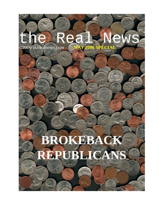## the Real News ©2006 skirealnews.com **MAY 2006 SPECIAL**

## **BROKEBACK REPUBLICANS**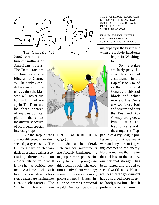

The Campaign of 2006 continues to turn off millions of American voters. The Democrats are still fuming and rambling about George W. The donkey candidates are still running against the Man who will never run for public office again. The Dems are lost sheep, sheared of any true political platform that unites the diverse spectrum of old liberal special interest groups.

But the Republicans are no different than their second party cousins. The GOPpers have an elephantiasis approach against associating themselves too closely with the President. It is like he has political cooties. As a lame duck, Bush has little clout left in his holster. Leaders are turning into cartoon characters. The White House are



BROKEBACK REPUBLI-CANS.

Just as the federal, state and local governments are fiscally bankrupt, the major parties are philosophically bankrupt going into this election cycle. The election is only about winning; winning creates power; power creates influence; influence creates personal wealth. An incumbent in the THE BROKEBACK REPUBLICAN EDITION OF THE REAL NEWS ©2006 SKI (All Rights Reserved) DISTRIBUTED AT SKIREALNEWS.COM

NEWSTAND PRICE: CYBER\$ NOT TO BE USED AS A SUBSTITUTE SUGAR PRODUCT.

major party is the first in line when the lobbyist hand-outs

> begin in Washington.

So the stakes are fairly petty this year. The concept of a statesman in the Capitol is only found in the Library of Congress archives of black and white movies. The Dems cry wolf, cry foul and scream and pout that Bush and Dick Cheney are greedy, lying oil men. The Republicans with the arrogant stiff up-

per lip of a Ivy League professor quip that we are at war, and any dissent is giving comfort to the enemy. No one realizes that the industrial base of the country, our national strength, has been rusted and eroded to second world status. No one realizes that the government has outsourced more liberty to foreign nations than it protects its own citizens.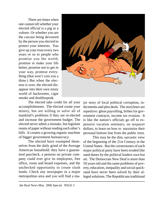There are times when one cannot tell whether your elected official is a pig or a vulture. Or whether you are the carcass being devoured by the person you elected to protect your interests. You give up your trust every two years or so to people who promise you the world, promise to make your life better, promise not to get in your way, promise everything (that won't cost you a dime.) But when the election is over, the elected disappear into their own misty world of backrooms, cigar smoke and doublespeak.

The elected take credit for all your accomplishments. The elected create your misery, but are willing to solve all of mankind's problems if they are re-elected and increase the government budget. The elected never admit a mistake, but legislate reams of paper without reading each other's bills. It creates a growing organic machine of bigger government bureaucracy.

The elected have exempted themselves from the daily grind of the Average American household: they have a guaranteed paycheck, a pension no private company could ever give its employees, free office, room and board expenses, and the unchecked opportunity to create slush funds. Check any newspaper in a major metropolitan area and you will find a ma-



jor story of local political corruption, indictments and plea deals. The storylines are repetitive: ghost payrolling, bribes for government contracts, income tax evasion. It is like the nation's officials go off to expensive vacation seminars, on taxpayer dollars, to learn on how to maximize their personal bottom line from the public trust.

This may be the dim, sarcastic view of the beginning of the 21st Century in the United States. But the cornerstones of each major political party have been eroded like sand dunes by the political leaders own hot air. The Democrats New Deal is more than 50 years old and the same problems of poverty, education, inequality and social quicksand have never been solved by their alleged solutions. The Republicans traditional

the Real News May 2006 Special PAGE 3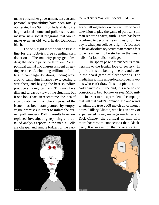mantra of smaller government, tax cuts and personal responsibility have been totally obliterated by a \$9 trillion federal deficit, a huge national homeland police state, and massive new social programs that would make even an old ward healer Democrat blush.

The only fight is who will be first in line for the lobbyists free spending cash donations. The majority party gets first dibs; the second party the leftovers. So all political capital in Congress is spent on getting re-elected, obtaining millions of dollars in campaign donations, finding ways around campaign finance laws, getting a war chest, and buying the best soundbite producers money can rent. This may be a dim and sarcastic view of the situation, but if one looks back in recent time, the idea of a candidate having a coherent grasp of the issues has been transplanted by empty, vague promises in order to inflate the current poll numbers. Polling results have now replaced investigating reporting and detailed analysis reports in the media. Polls are cheaper and simple fodder for the varithe Real News May 2006 Special PAGE 4

ety of talking heads on the vacuum of cable television to play the game of partisan spin than reporting facts, truth. Truth has been redefined to become meaningless; truth today is what you believe is right. A fact used to be an absolute objective statement; a fact today is a fossil to be studied in the musty halls of a journalism college.

The sports page has pushed its mannerisms to the frontal lobe of society. In politics, it is the betting line of candidates in the board game of electioneering. The media has it little underdog Rolodex favorites who can't draw flies at a picnic at the early caucuses. In the end, it is who has no conscious to beg, borrow or steal \$100 million in order to run a presidential campaign that will that party's nominee. No one wants to admit the true 2008 match up of money titans: Hillary Clinton, who has an army of experienced money manager machines, and Dick Cheney, the political oil man with more boardroom connections than Blackberry. It is an election that no one wants.



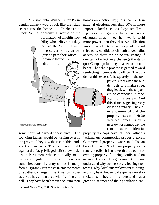A Bush-Clinton-Bush-Clinton Presidential dynasty would look like the stitch scars across the forehead of Frankenstein. Uncle Sam's lobotomy. It would be the

dren as

coronation of an elitist nobility who believe that they "own" the White House. The career politician begins to pass their office down to their chil-

@Ski06 skirealnews.com

some form of earned inheritance. The founding fathers would be turning over in the graves if they saw the rise of this intolerant know-it-alls. The founders fought against the fat, privileged, elitist law makers in Parliament who continually made rules and regulations that taxed their personal freedoms. Tyranny comes in many forms. Tyranny can thrive in environments of apathetic change. The American voter as a bloc has grown tired with fighting city hall. They have been beaten back into their

the Real News May 2006 Special PAGE 5

homes on election day; less than 50% in national elections, less than 30% in more important local elections. Loyal small voting blocs have great influence when the electorate stays home. The powerful weld more power than they deserve. Election laws are written to make independents and third party candidates difficult to get ballot access. So there can be no real change if one cannot effectively challenge the status quo. Campaign funding is easier for incumbents. The whole process is geared toward re-electing incumbents to office. The burden of this excess falls squarely on the tax-

> payers. Only when the burden gets to a mafia street thug level, will the taxpayers be compelled to rebel against the system. And this time is getting very close to a reality. The elderly cannot afford the property taxes on their 30 year old homes. A business owner cannot pay the rent because residential

property tax caps have left local officials jacking up commercial property taxes. Commercial property owners tax bills can be as high as 90% of their property's current rent rolls. It is not worth the trouble of owning property if it being confiscated on an annual basis. Then government does not understand why businesses are leaving their towns, why local unemployment is rising, and why basic household expenses are skyrocketing. They don't understand that a growing segment of their population can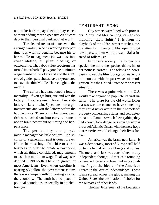not make it from pay check to pay check without adding more expensive credit card debt to their personal bankrupt net worth.

The elected are out-of-touch with the average worker, who is working two part time jobs with no benefits because his or her middle management job was lost in a consolidation, a plant closing, or outsourcing. The labor value spectrum has turned into a barbell polygon: the minimum wage number of workers end and the CEO end of golden parachutes have skyrocketed to leave the thin Middle Class caught in the middle.

The culture has sanctioned a lottery mentality. If you get hurt, sue and win the lottery. If you are unemployed, buy state lottery tickets to win. Speculate on margin investments and win the lottery before the bubble bursts. There is number of nouveau rich who lucked out into early retirement not on brain power but on timing and happenstance.

The permanently unemployed middle manager has little options. Job security of a generation past is gone forever. He or she must buy a franchise or start a business in order to create a paycheck, which all things considered, may amount to less than minimum wage. Real wages as defined in 1980 dollars have not grown for most Americans. Even when gasoline is nearing \$3/gallon, the government claims there is no rampant inflation eating away at the economy. The truth has no place in political soundbites, especially in an election year.

## IMMIGRANT SONG

City streets were lined with protesters. Many held Mexican flags or signs demanding "their rights." It is from the playbook of the 1960s: street marches, media attention, change public opinion, get laws passed, then win the war. Salsa instead of folk music.

In today's society, the louder one speaks, the more the speaker thinks his or her point is correct. The television newscasts showed the film footage, but never put it in context with the past waves of immigration into the United States or the present situation.

There was a point where the U.S. would take anyone to populate its vast interior. The prize for the old world lower classes was the chance to have something they could never attain in their homeland: property ownership, estates and self determination. Families who left everything they had known, took dangerous voyages across the cruel Atlantic Ocean with the mere hope that America would change their lives forever.

America was the brash new land. It was a democracy; most of Europe still held on to the feudal reigns of kings and nobles. The merchant class was constrained in any independent thought. America's founding fathers, educated and free thinking capitalists, forged the ideals of the American Dream in the War of Independence. Those ideals spread across the globe, making the United States the destination of choice for the outcasts of other lands.

Thomas Jefferson had the Louisiana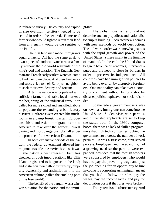Purchase to survey. His country had tripled in size overnight; territory needed to be settled in order to be secured. Homestead farmers who would fight to retain their land from any enemy would be the sentries to the Pacific.

The first land rush made immigrants equal citizens. All had the same goal: to own a piece of land; cultivate it; raise a family without the old world restraints of the king's god and taxation. The English, German and French early settlers were welcome to find their own place. And their hard work and success led to their European neighbors to seek their own destiny and fortune.

After the nation was populated with sufficient farmers and stable local markets, the beginning of the industrial revolution called for more skilled and unskilled labors to populate the expanding urban factory districts. Railroads were created like mushrooms in a damp forest. Eastern Europeans, Irish, and Asian immigrants came to America to take over the hardest, lowest paying and most dangerous jobs, all under the promise of the American Dream.

In both expansive periods of the nation, the federal government allowed immigrants to settle in America because it was in the nation's best interest. Families checked through import stations like Ellis Island, registered to be guests in the land; and to start on their path to citizenship, property ownership and assimilation into the American culture (called the "melting pot" of the free world).

The benefit of the bargain was a winwin situation for the nation and the immigrants.

The global industrialization did not deter the ancient prejudices and nationalistic empire building. It created new enemies with new methods of world destruction. The old world order was somewhat jealous with the rapid growth and power of the United States, a mere infant in the timeline of mankind. In the end, the United States began to have jealous enemies, internal disputes and the need to close its borders in order to preserve its independence. All countries have had immigration policies to avoid being overrun by disruptive foreigners. One nationality can take over a country or continent without firing a shot by disease, political upheaval, or social disorder.

So the federal government sets rules on how many immigrants can come into the United States. Student visas, work permits, and citizenship applicants are set to keep the status quo. In the 1990s computer boom, there was a lack of skilled programmers that high tech companies lobbied the government to increase the number of work permits. It was a first come, first served process. Employers, and the economy, had a growing need so the permits were expanded, provided that the foreign workers were sponsored by employers, who would have to pay the prevailing wage and post the job opening for an opportunity to hire in-country. Sponsoring an immigrant meant that you had to follow the rules, pay the wages, pay the income taxes, and pay for deportation costs if the rules were broken.

The system is still a bureaucracy. And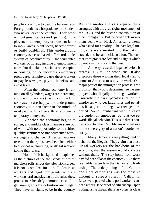people know how to beat the bureaucracy. Foreign students who graduate on a student visa never leave the country. They work without green cards (work permits). Employers hired temporary or transient labor to mow lawns, plant seeds, harvest crops, or build buildings. This underground economy is a cash based, off record books system of accountability. Undocumented workers do not pay income or employment taxes, but do take up social service capital in housing, police incidents, emergency room care. Employers use these workers to pay less wages, pay no benefits, and avoid taxes.

When the national economy is running on all cylinders, wages are increasing, and the middle class (the crux of the U.S. tax system) are happy, the underground economy is a non-factor in the minds of most people. It is like a fly at a picnic; a temporary annoyance.

But when the economy begins to soften; and middle class managers are out of work with no opportunity to be rehired quickly; sentiment on undocumented workers begins to change. American workers resent that their jobs have been lost, either to overseas outsourcing, or illegal workers taking their place.

None of this background is explained as the pictures of the thousands of protest marchers rolls across the television screen. It is not a complex situation. To American workers and legal immigrants, who are working hard and playing by the rules, these protest marches defy common sense. Illegal immigrants by definition are illegal. They have no rights to be in the country.

But the media analysts equate their struggles with the civil rights movement of the 1960s, and the historic contribution of other immigrants. But the civil rights movement dealt with black American citizens who asked for equality. The past legal immigrants were invited into the nation, stayed, and became citizens, too. The current immigrants are demanding rights which do not exist now, or in the past.

Amnesty rewards illegal behavior. It creates 10-12 million new aliens. It also displaces those waiting their legal turn to come to America to study or work. One major part of the immigration protest is the provision that would decriminalize the employers who illegally hire illegal workers. Currently, the harsh penalties fall on the employers who get large fines and penalties if caught; the illegal worker gets deported. Some Republicans want to lessen the burden on employers, but that too rewards illegal behavior. This is in direct contradiction to other Republicans who believe in the sovereignty of a nation's border security.

Many Democrats are yelling loud on behalf of the illegals. They claim that these illegal workers are the backbone of the economy; that the system would collapse without them. The stay home from work day did not collapse the economy. But there is a hidden agenda in the Democratic leadership. The underpinnings of the Clinton and Gore campaigns was the massive amount of suspect voters in California. Laws were passed where poll workers cannot ask for IDs or proof of citizenship. Open voting, using illegal aliens as voters, is clear